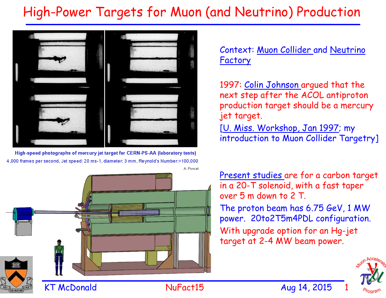## High-Power Targets for Muon (and Neutrino) Production



High-speed photographs of mercury jet target for CERN-PS-AA (laboratory tests) 4,000 frames per second, Jet speed: 20 ms-1, diameter: 3 mm, Reynold's Number:>100,000 A. Poncet



#### Context: Muon Collider and Neutrino Factory

1997: Colin Johnson argued that the next step after the ACOL antiproton production target should be a mercury jet target.

[U. Miss. Workshop, Jan 1997; my introduction to Muon Collider Targetry]

Present studies are for a carbon target in a 20-T solenoid, with a fast taper over 5 m down to 2 T.

The proton beam has 6.75 GeV, 1 MW power. 20to2T5m4PDL configuration. With upgrade option for an Hg-jet target at 2-4 MW beam power.



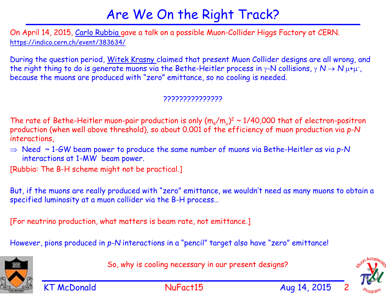## Are We On the Right Track?

On April 14, 2015, Carlo Rubbia gave a talk on a possible Muon-Collider Higgs Factory at CERN. https://indico.cern.ch/event/383634/

During the question period, Witek Krasny claimed that present Muon Collider designs are all wrong, and the right thing to do is generate muons via the Bethe-Heitler process in  $\gamma$ -N collisions,  $\gamma N \to N \mu^+\mu^-$ , because the muons are produced with "zero" emittance, so no cooling is needed.

#### ???????????????

The rate of Bethe-Heitler muon-pair production is only  $(m_e/m_u)^2 \sim 1/40,000$  that of electron-positron production (when well above threshold), so about 0.001 of the efficiency of muon production via *p-N*  interactions,

 $\Rightarrow$  Need  $\sim$  1-GW beam power to produce the same number of muons via Bethe-Heitler as via p-N interactions at 1-MW beam power.

[Rubbia: The B-H scheme might not be practical.]

But, if the muons are really produced with "zero" emittance, we wouldn't need as many muons to obtain a specified luminosity at a muon collider via the B-H process…

[For neutrino production, what matters is beam rate, not emittance.]

However, pions produced in *p-N* interactions in a "pencil" target also have "zero" emittance!



So, why is cooling necessary in our present designs?

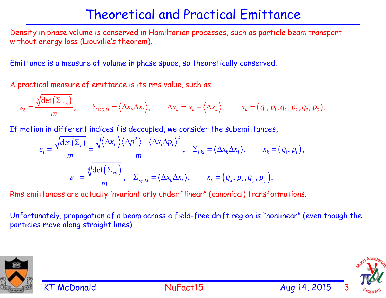## Theoretical and Practical Emittance

Density in phase volume is conserved in Hamiltonian processes, such as particle beam transport without energy loss (Liouville's theorem).

Emittance is a measure of volume in phase space, so theoretically conserved.

A practical measure of emittance is its rms value, such as

$$
\varepsilon_6 = \frac{\sqrt[6]{\det(\Sigma_{123})}}{m}, \qquad \Sigma_{123,kl} = \langle \Delta x_k \Delta x_l \rangle, \qquad \Delta x_k = x_k - \langle \Delta x_k \rangle, \qquad x_k = (q_1, p_1, q_2, p_2, q_3, p_3).
$$

If motion in different indices *i* is decoupled, we consider the subemittances,

$$
\varepsilon_{i} = \frac{\sqrt{\det(\Sigma_{i})}}{m} = \frac{\sqrt{\langle \Delta x_{i}^{2} \rangle \langle \Delta p_{i}^{2} \rangle - \langle \Delta x_{i} \Delta p_{i} \rangle^{2}}}{m}, \quad \Sigma_{i,kl} = \langle \Delta x_{k} \Delta x_{l} \rangle, \qquad x_{k} = (q_{i}, p_{i}),
$$
\n
$$
\varepsilon_{\perp} = \frac{\sqrt{\det(\Sigma_{xy})}}{m}, \quad \Sigma_{xy,kl} = \langle \Delta x_{k} \Delta x_{l} \rangle, \qquad x_{k} = (q_{x}, p_{x}, q_{y}, p_{y}).
$$

Rms emittances are actually invariant only under "linear" (canonical) transformations.

Unfortunately, propagation of a beam across a field-free drift region is "nonlinear" (even though the particles move along straight lines).



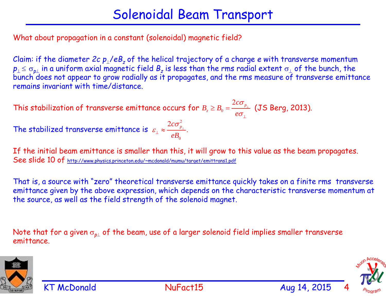What about propagation in a constant (solenoidal) magnetic field?

Claim: if the diameter *2c p*/*eBz* of the helical trajectory of a charge *<sup>e</sup>* with transverse momentum  $p_{\perp} \leq \sigma_{p\perp}$  in a uniform axial magnetic field  $B_z$  is less than the rms radial extent  $\sigma_{\perp}$  of the bunch, the *bunch* does not appear to grow radially as it propagates, and the rms measure of transverse emittance remains invariant with time/distance.

This stabilization of transverse emittance occurs for  $B_z \geq B_0 = \frac{\tau^2 - p_{\perp}}{2}$  (JS Berg, 2013).  $2c\sigma_{_p}$ *z*  $B_z \geq B_0 = \frac{2c}{e}$  $\sigma$  $\sigma$ ⊥ T  $\geq B_\circ =$ 2 2  $\frac{c\sigma_{_{p_{\perp}}}}{p_{\perp}}$ .  $\varepsilon_{\perp} \approx \frac{2c\sigma_{p_{\perp}}} {R}$ 

The stabilized transverse emittance is

If the initial beam emittance is smaller than this, it will grow to this value as the beam propagates. See slide 10 of http://www.physics.princeton.edu/~mcdonald/mumu/target/emittrans1.pdf

0

*eB*

That is, a source with "zero" theoretical transverse emittance quickly takes on a finite rms transverse emittance given by the above expression, which depends on the characteristic transverse momentum at the source, as well as the field strength of the solenoid magnet.

Note that for a given  $\sigma_{p\perp}$  of the beam, use of a larger solenoid field implies smaller transverse emittance.



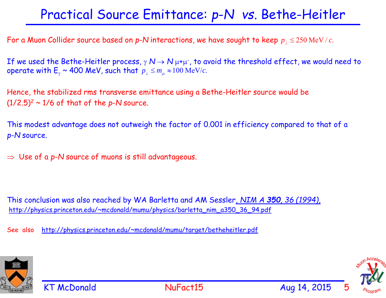## Practical Source Emittance: *p*-*N vs*. Bethe-Heitler

For a Muon Collider source based on  $\bm{p}$ -N interactions, we have sought to keep  $\overline{p}_\perp \leq 250$  MeV /  $c$ .

If we used the Bethe-Heitler process,  $\gamma \mathbb{N} \to \mathbb{N}$   $\mu$ + $\mu$ <sup>-</sup>, to avoid the threshold effect, we would need to operate with  $\mathsf{E}_\gamma$  ~ 400 MeV, such that  $p_{_\perp}\leq m_{_\mu}\approx\!100\,\mathrm{MeV}/c.$ 

Hence, the stabilized rms transverse emittance using a Bethe-Heitler source would be  $(1/2.5)^2 \sim 1/6$  of that of the *p*-*N* source.

This modest advantage does not outweigh the factor of 0.001 in efficiency compared to that of a *p-N* source.

 $\Rightarrow$  Use of a p-N source of muons is still advantageous.

This conclusion was also reached by WA Barletta and AM Sessler*, NIM A 350, 36 (1994),* http://physics.princeton.edu/~mcdonald/mumu/physics/barletta\_nim\_a350\_36\_94.pdf

See also http://physics.princeton.edu/~mcdonald/mumu/target/betheheitler.pdf





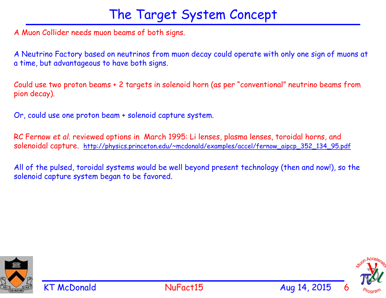#### The Target System Concept

A Muon Collider needs muon beams of both signs.

A Neutrino Factory based on neutrinos from muon decay could operate with only one sign of muons at a time, but advantageous to have both signs.

Could use two proton beams + 2 targets in solenoid horn (as per "conventional" neutrino beams from pion decay).

Or, could use one proton beam + solenoid capture system.

RC Fernow *et al*. reviewed options in March 1995: Li lenses, plasma lenses, toroidal horns, and solenoidal capture. http://physics.princeton.edu/~mcdonald/examples/accel/fernow\_aipcp\_352\_134\_95.pdf

All of the pulsed, toroidal systems would be well beyond present technology (then and now!), so the solenoid capture system began to be favored.



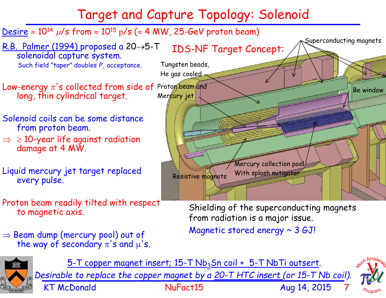# Target and Capture Topology: Solenoid





*Desirable to replace the copper magnet by a 20-T HTC insert (or 15-T Nb coil).*

KT McDonald **NuFact15** Aug 14, 2015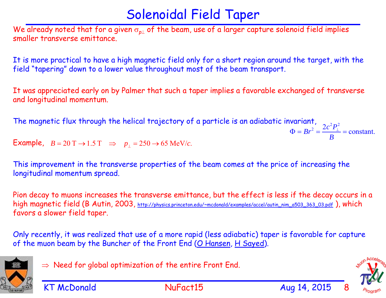## Solenoidal Field Taper

We already noted that for a given  $\sigma_{p\perp}$  of the beam, use of a larger capture solenoid field implies smaller transverse emittance.

It is more practical to have a high magnetic field only for a short region around the target, with the field "tapering" down to a lower value throughout most of the beam transport.

It was appreciated early on by Palmer that such a taper implies a favorable exchanged of transverse and longitudinal momentum.

The magnetic flux through the helical trajectory of a particle is an adiabatic invariant,  $\frac{2}{3} s^2 B^2$  $Br^2 = \frac{2c^2 P_{\perp}^2}{B}$  = constant.

 $\textsf{Example}$ ,  $B = 20\text{ T} \rightarrow 1.5\text{ T} \Rightarrow p_{\perp} = 250 \rightarrow 65 \text{ MeV}/c.$ 

This improvement in the transverse properties of the beam comes at the price of increasing the longitudinal momentum spread.

Pion decay to muons increases the transverse emittance, but the effect is less if the decay occurs in a high magnetic field (B Autin, 2003, http://physics.princeton.edu/~mcdonald/examples/accel/autin\_nim\_a503\_363\_03.pdf), which favors a slower field taper.

Only recently, it was realized that use of a more rapid (less adiabatic) taper is favorable for capture of the muon beam by the Buncher of the Front End (O Hansen, H Sayed).



 $\Rightarrow$  Need for global optimization of the entire Front End.

 $\Phi = Br^2 = \frac{2c}{r^2} =$ 

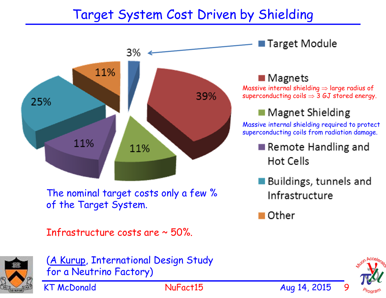## Target System Cost Driven by Shielding





(A Kurup, International Design Study for a Neutrino Factory)

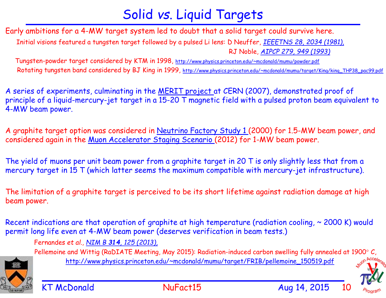## Solid *vs*. Liquid Targets

Early ambitions for a 4-MW target system led to doubt that a solid target could survive here. Initial visions featured a tungsten target followed by a pulsed Li lens: D Neuffer, *IEEETNS 28, 2034 (1981),* RJ Noble, *AIPCP 279, 949 (1993)*

Tungsten-powder target considered by KTM in 1998, http://www.physics.princeton.edu/~mcdonald/mumu/powder.pdf Rotating tungsten band considered by BJ King in 1999, http://www.physics.princeton.edu/~mcdonald/mumu/target/King/king\_THP38\_pac99.pdf

A series of experiments, culminating in the MERIT project at CERN (2007), demonstrated proof of principle of a liquid-mercury-jet target in a 15-20 T magnetic field with a pulsed proton beam equivalent to 4-MW beam power.

A graphite target option was considered in Neutrino Factory Study 1 (2000) for 1.5-MW beam power, and considered again in the Muon Accelerator Staging Scenario (2012) for 1-MW beam power.

The yield of muons per unit beam power from a graphite target in 20 T is only slightly less that from a mercury target in 15 T (which latter seems the maximum compatible with mercury-jet infrastructure).

The limitation of a graphite target is perceived to be its short lifetime against radiation damage at high beam power.

Recent indications are that operation of graphite at high temperature (radiation cooling,  $\sim$  2000 K) would permit long life even at 4-MW beam power (deserves verification in beam tests.)

Fernandes *et al., NIM B 314, 125 (2013),* 

Pellemoine and Wittig (RaDIATE Meeting, May 2015): Radiation-induced carbon swelling fully annealed at 1900° C, http://www.physics.princeton.edu/~mcdonald/mumu/target/FRIB/pellemoine\_150519.pdf